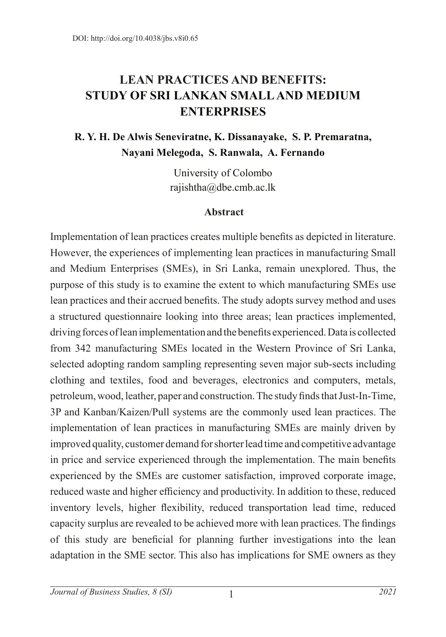# **LEAN PRACTICES AND BENEFITS: STUDY OF SRI LANKAN SMALL AND MEDIUM ENTERPRISES**

## **R. Y. H. De Alwis Seneviratne, K. Dissanayake, S. P. Premaratna, Nayani Melegoda, S. Ranwala, A. Fernando**

University of Colombo rajishtha@dbe.cmb.ac.lk

#### **Abstract**

Implementation of lean practices creates multiple benefits as depicted in literature. However, the experiences of implementing lean practices in manufacturing Small and Medium Enterprises (SMEs), in Sri Lanka, remain unexplored. Thus, the purpose of this study is to examine the extent to which manufacturing SMEs use lean practices and their accrued benefits. The study adopts survey method and uses a structured questionnaire looking into three areas; lean practices implemented, driving forces of lean implementation and the benefits experienced. Data is collected from 342 manufacturing SMEs located in the Western Province of Sri Lanka, selected adopting random sampling representing seven major sub-sects including clothing and textiles, food and beverages, electronics and computers, metals, petroleum, wood, leather, paper and construction. The study finds that Just-In-Time, 3P and Kanban/Kaizen/Pull systems are the commonly used lean practices. The implementation of lean practices in manufacturing SMEs are mainly driven by improved quality, customer demand for shorter lead time and competitive advantage in price and service experienced through the implementation. The main benefits experienced by the SMEs are customer satisfaction, improved corporate image, reduced waste and higher efficiency and productivity. In addition to these, reduced inventory levels, higher flexibility, reduced transportation lead time, reduced capacity surplus are revealed to be achieved more with lean practices. The findings of this study are beneficial for planning further investigations into the lean adaptation in the SME sector. This also has implications for SME owners as they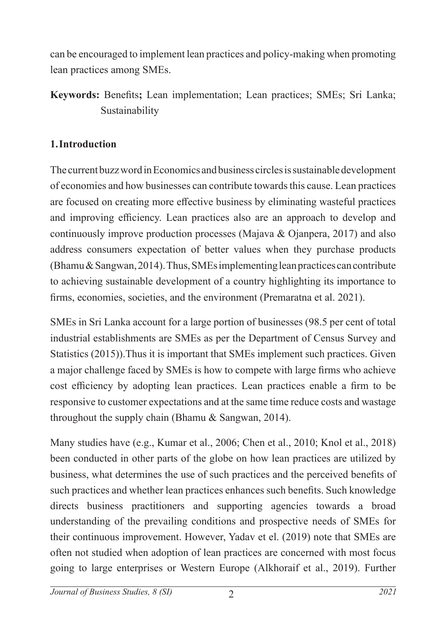can be encouraged to implement lean practices and policy-making when promoting lean practices among SMEs.

**Keywords:** Benefits**;** Lean implementation; Lean practices; SMEs; Sri Lanka; Sustainability

## **1.Introduction**

The current buzz word in Economics and business circles is sustainable development of economies and how businesses can contribute towards this cause. Lean practices are focused on creating more effective business by eliminating wasteful practices and improving efficiency. Lean practices also are an approach to develop and continuously improve production processes (Majava & Ojanpera, 2017) and also address consumers expectation of better values when they purchase products (Bhamu & Sangwan, 2014). Thus, SMEs implementing lean practices can contribute to achieving sustainable development of a country highlighting its importance to firms, economies, societies, and the environment (Premaratna et al. 2021).

SMEs in Sri Lanka account for a large portion of businesses (98.5 per cent of total industrial establishments are SMEs as per the Department of Census Survey and Statistics (2015)).Thus it is important that SMEs implement such practices. Given a major challenge faced by SMEs is how to compete with large firms who achieve cost efficiency by adopting lean practices. Lean practices enable a firm to be responsive to customer expectations and at the same time reduce costs and wastage throughout the supply chain (Bhamu & Sangwan, 2014).

Many studies have (e.g., Kumar et al., 2006; Chen et al., 2010; Knol et al., 2018) been conducted in other parts of the globe on how lean practices are utilized by business, what determines the use of such practices and the perceived benefits of such practices and whether lean practices enhances such benefits. Such knowledge directs business practitioners and supporting agencies towards a broad understanding of the prevailing conditions and prospective needs of SMEs for their continuous improvement. However, Yadav et el. (2019) note that SMEs are often not studied when adoption of lean practices are concerned with most focus going to large enterprises or Western Europe (Alkhoraif et al., 2019). Further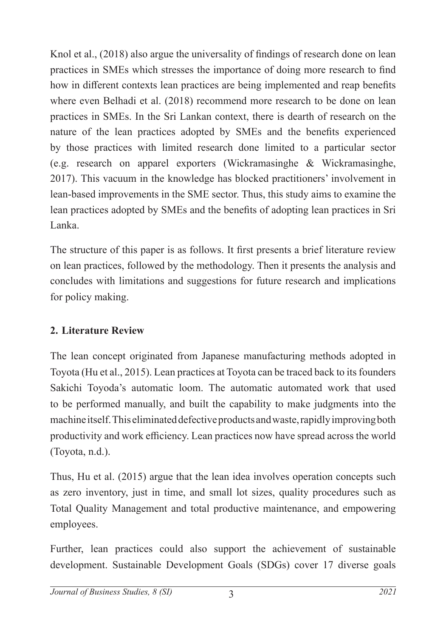Knol et al., (2018) also argue the universality of findings of research done on lean practices in SMEs which stresses the importance of doing more research to find how in different contexts lean practices are being implemented and reap benefits where even Belhadi et al. (2018) recommend more research to be done on lean practices in SMEs. In the Sri Lankan context, there is dearth of research on the nature of the lean practices adopted by SMEs and the benefits experienced by those practices with limited research done limited to a particular sector (e.g. research on apparel exporters (Wickramasinghe & Wickramasinghe, 2017). This vacuum in the knowledge has blocked practitioners' involvement in lean-based improvements in the SME sector. Thus, this study aims to examine the lean practices adopted by SMEs and the benefits of adopting lean practices in Sri Lanka.

The structure of this paper is as follows. It first presents a brief literature review on lean practices, followed by the methodology. Then it presents the analysis and concludes with limitations and suggestions for future research and implications for policy making.

## **2. Literature Review**

The lean concept originated from Japanese manufacturing methods adopted in Toyota (Hu et al., 2015). Lean practices at Toyota can be traced back to its founders Sakichi Toyoda's automatic loom. The automatic automated work that used to be performed manually, and built the capability to make judgments into the machine itself. This eliminated defective products and waste, rapidly improving both productivity and work efficiency. Lean practices now have spread across the world (Toyota, n.d.).

Thus, Hu et al. (2015) argue that the lean idea involves operation concepts such as zero inventory, just in time, and small lot sizes, quality procedures such as Total Quality Management and total productive maintenance, and empowering employees.

Further, lean practices could also support the achievement of sustainable development. Sustainable Development Goals (SDGs) cover 17 diverse goals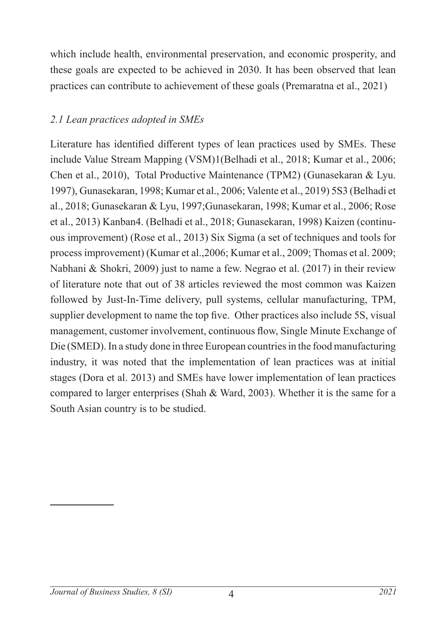which include health, environmental preservation, and economic prosperity, and these goals are expected to be achieved in 2030. It has been observed that lean practices can contribute to achievement of these goals (Premaratna et al., 2021)

## *2.1 Lean practices adopted in SMEs*

Literature has identified different types of lean practices used by SMEs. These include Value Stream Mapping (VSM)1(Belhadi et al., 2018; Kumar et al., 2006; Chen et al., 2010), Total Productive Maintenance (TPM2) (Gunasekaran & Lyu. 1997), Gunasekaran, 1998; Kumar et al., 2006; Valente et al., 2019) 5S3 (Belhadi et al., 2018; Gunasekaran & Lyu, 1997;Gunasekaran, 1998; Kumar et al., 2006; Rose et al., 2013) Kanban4. (Belhadi et al., 2018; Gunasekaran, 1998) Kaizen (continuous improvement) (Rose et al., 2013) Six Sigma (a set of techniques and tools for process improvement) (Kumar et al.,2006; Kumar et al., 2009; Thomas et al. 2009; Nabhani & Shokri, 2009) just to name a few. Negrao et al. (2017) in their review of literature note that out of 38 articles reviewed the most common was Kaizen followed by Just-In-Time delivery, pull systems, cellular manufacturing, TPM, supplier development to name the top five. Other practices also include 5S, visual management, customer involvement, continuous flow, Single Minute Exchange of Die (SMED). In a study done in three European countries in the food manufacturing industry, it was noted that the implementation of lean practices was at initial stages (Dora et al. 2013) and SMEs have lower implementation of lean practices compared to larger enterprises (Shah & Ward, 2003). Whether it is the same for a South Asian country is to be studied.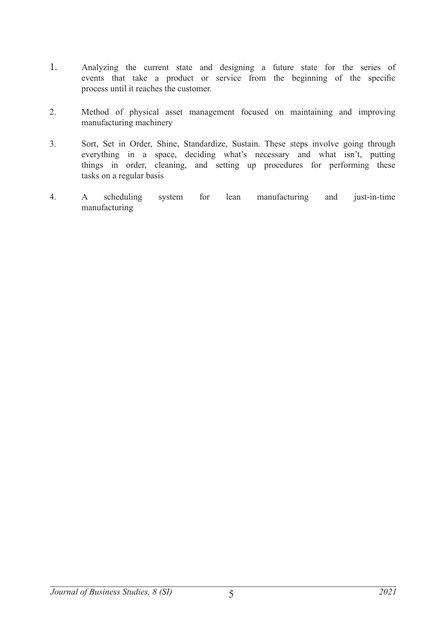- 1. Analyzing the current state and designing a future state for the series of events that take a product or service from the beginning of the specific process until it reaches the customer.
- 2. Method of physical asset management focused on maintaining and improving manufacturing machinery
- 3. Sort, Set in Order, Shine, Standardize, Sustain. These steps involve going through everything in a space, deciding what's necessary and what isn't, putting things in order, cleaning, and setting up procedures for performing these tasks on a regular basis
- 4. A scheduling system for lean manufacturing and just-in-time manufacturing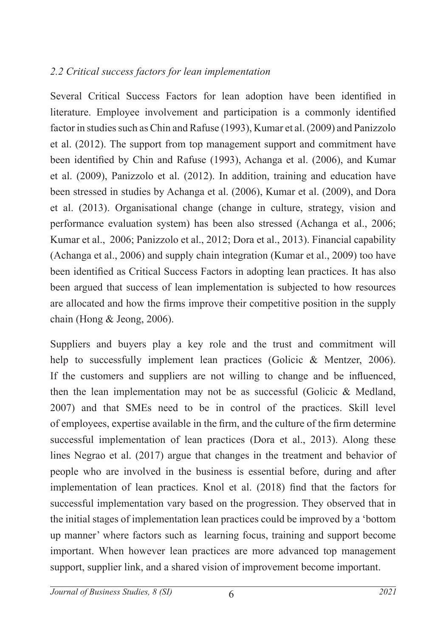### *2.2 Critical success factors for lean implementation*

Several Critical Success Factors for lean adoption have been identified in literature. Employee involvement and participation is a commonly identified factor in studies such as Chin and Rafuse (1993), Kumar et al. (2009) and Panizzolo et al. (2012). The support from top management support and commitment have been identified by Chin and Rafuse (1993), Achanga et al. (2006), and Kumar et al. (2009), Panizzolo et al. (2012). In addition, training and education have been stressed in studies by Achanga et al. (2006), Kumar et al. (2009), and Dora et al. (2013). Organisational change (change in culture, strategy, vision and performance evaluation system) has been also stressed (Achanga et al., 2006; Kumar et al., 2006; Panizzolo et al., 2012; Dora et al., 2013). Financial capability (Achanga et al., 2006) and supply chain integration (Kumar et al., 2009) too have been identified as Critical Success Factors in adopting lean practices. It has also been argued that success of lean implementation is subjected to how resources are allocated and how the firms improve their competitive position in the supply chain (Hong & Jeong, 2006).

Suppliers and buyers play a key role and the trust and commitment will help to successfully implement lean practices (Golicic & Mentzer, 2006). If the customers and suppliers are not willing to change and be influenced, then the lean implementation may not be as successful (Golicic & Medland, 2007) and that SMEs need to be in control of the practices. Skill level of employees, expertise available in the firm, and the culture of the firm determine successful implementation of lean practices (Dora et al., 2013). Along these lines Negrao et al. (2017) argue that changes in the treatment and behavior of people who are involved in the business is essential before, during and after implementation of lean practices. Knol et al. (2018) find that the factors for successful implementation vary based on the progression. They observed that in the initial stages of implementation lean practices could be improved by a 'bottom up manner' where factors such as learning focus, training and support become important. When however lean practices are more advanced top management support, supplier link, and a shared vision of improvement become important.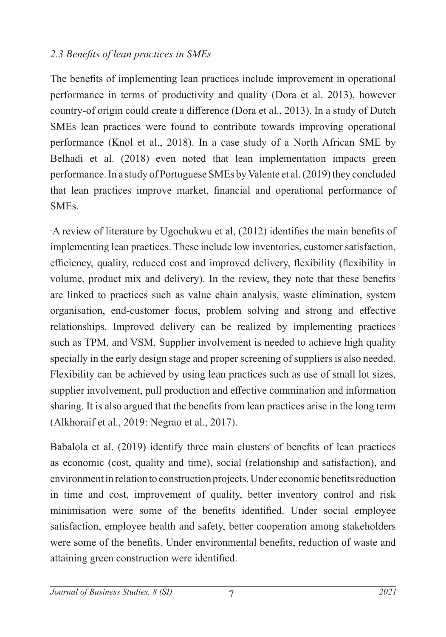## *2.3 Benefits of lean practices in SMEs*

The benefits of implementing lean practices include improvement in operational performance in terms of productivity and quality (Dora et al. 2013), however country-of origin could create a difference (Dora et al., 2013). In a study of Dutch SMEs lean practices were found to contribute towards improving operational performance (Knol et al., 2018). In a case study of a North African SME by Belhadi et al. (2018) even noted that lean implementation impacts green performance. In a study of Portuguese SMEs by Valente et al. (2019) they concluded that lean practices improve market, financial and operational performance of SMEs.

A review of literature by Ugochukwu et al, (2012) identifies the main benefits of implementing lean practices. These include low inventories, customer satisfaction, efficiency, quality, reduced cost and improved delivery, flexibility (flexibility in volume, product mix and delivery). In the review, they note that these benefits are linked to practices such as value chain analysis, waste elimination, system organisation, end-customer focus, problem solving and strong and effective relationships. Improved delivery can be realized by implementing practices such as TPM, and VSM. Supplier involvement is needed to achieve high quality specially in the early design stage and proper screening of suppliers is also needed. Flexibility can be achieved by using lean practices such as use of small lot sizes, supplier involvement, pull production and effective commination and information sharing. It is also argued that the benefits from lean practices arise in the long term (Alkhoraif et al., 2019: Negrao et al., 2017).

Babalola et al. (2019) identify three main clusters of benefits of lean practices as economic (cost, quality and time), social (relationship and satisfaction), and environment in relation to construction projects. Under economic benefits reduction in time and cost, improvement of quality, better inventory control and risk minimisation were some of the benefits identified. Under social employee satisfaction, employee health and safety, better cooperation among stakeholders were some of the benefits. Under environmental benefits, reduction of waste and attaining green construction were identified.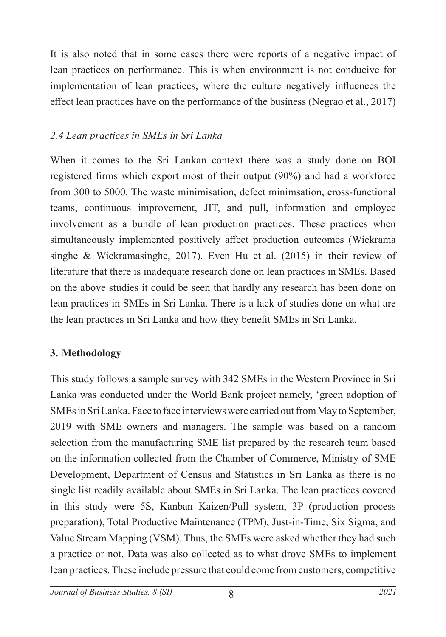It is also noted that in some cases there were reports of a negative impact of lean practices on performance. This is when environment is not conducive for implementation of lean practices, where the culture negatively influences the effect lean practices have on the performance of the business (Negrao et al., 2017)

### *2.4 Lean practices in SMEs in Sri Lanka*

When it comes to the Sri Lankan context there was a study done on BOI registered firms which export most of their output (90%) and had a workforce from 300 to 5000. The waste minimisation, defect minimsation, cross-functional teams, continuous improvement, JIT, and pull, information and employee involvement as a bundle of lean production practices. These practices when simultaneously implemented positively affect production outcomes (Wickrama singhe & Wickramasinghe, 2017). Even Hu et al. (2015) in their review of literature that there is inadequate research done on lean practices in SMEs. Based on the above studies it could be seen that hardly any research has been done on lean practices in SMEs in Sri Lanka. There is a lack of studies done on what are the lean practices in Sri Lanka and how they benefit SMEs in Sri Lanka.

## **3. Methodology**

This study follows a sample survey with 342 SMEs in the Western Province in Sri Lanka was conducted under the World Bank project namely, 'green adoption of SMEs in Sri Lanka. Face to face interviews were carried out from May to September, 2019 with SME owners and managers. The sample was based on a random selection from the manufacturing SME list prepared by the research team based on the information collected from the Chamber of Commerce, Ministry of SME Development, Department of Census and Statistics in Sri Lanka as there is no single list readily available about SMEs in Sri Lanka. The lean practices covered in this study were 5S, Kanban Kaizen/Pull system, 3P (production process preparation), Total Productive Maintenance (TPM), Just-in-Time, Six Sigma, and Value Stream Mapping (VSM). Thus, the SMEs were asked whether they had such a practice or not. Data was also collected as to what drove SMEs to implement lean practices. These include pressure that could come from customers, competitive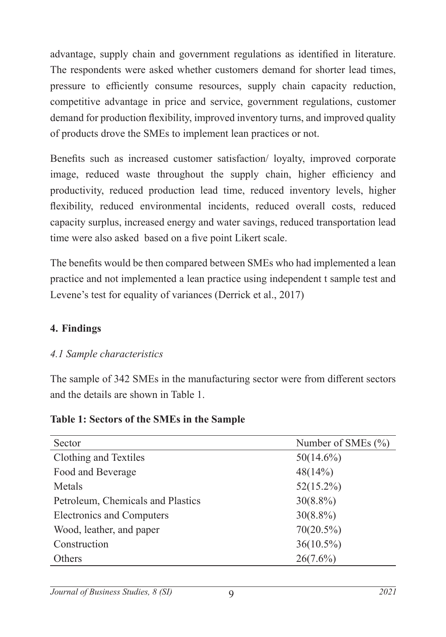advantage, supply chain and government regulations as identified in literature. The respondents were asked whether customers demand for shorter lead times, pressure to efficiently consume resources, supply chain capacity reduction, competitive advantage in price and service, government regulations, customer demand for production flexibility, improved inventory turns, and improved quality of products drove the SMEs to implement lean practices or not.

Benefits such as increased customer satisfaction/ loyalty, improved corporate image, reduced waste throughout the supply chain, higher efficiency and productivity, reduced production lead time, reduced inventory levels, higher flexibility, reduced environmental incidents, reduced overall costs, reduced capacity surplus, increased energy and water savings, reduced transportation lead time were also asked based on a five point Likert scale.

The benefits would be then compared between SMEs who had implemented a lean practice and not implemented a lean practice using independent t sample test and Levene's test for equality of variances (Derrick et al., 2017)

#### **4. Findings**

#### *4.1 Sample characteristics*

The sample of 342 SMEs in the manufacturing sector were from different sectors and the details are shown in Table 1.

| Sector                            | Number of SMEs $(\% )$ |
|-----------------------------------|------------------------|
| Clothing and Textiles             | $50(14.6\%)$           |
| Food and Beverage                 | 48(14%)                |
| Metals                            | $52(15.2\%)$           |
| Petroleum, Chemicals and Plastics | $30(8.8\%)$            |
| <b>Electronics and Computers</b>  | $30(8.8\%)$            |
| Wood, leather, and paper          | $70(20.5\%)$           |
| Construction                      | $36(10.5\%)$           |
| Others                            | $26(7.6\%)$            |

#### **Table 1: Sectors of the SMEs in the Sample**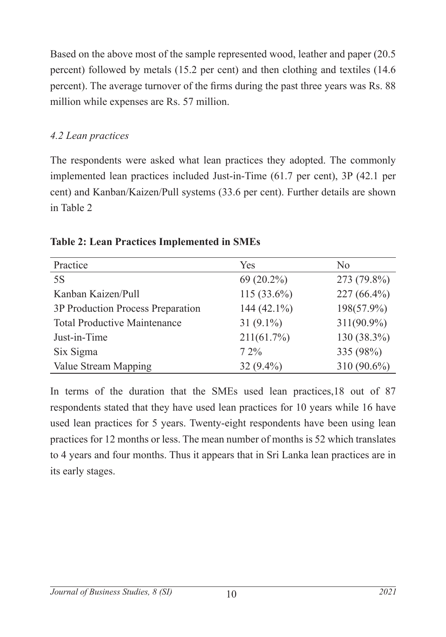Based on the above most of the sample represented wood, leather and paper (20.5 percent) followed by metals (15.2 per cent) and then clothing and textiles (14.6 percent). The average turnover of the firms during the past three years was Rs. 88 million while expenses are Rs. 57 million.

## *4.2 Lean practices*

The respondents were asked what lean practices they adopted. The commonly implemented lean practices included Just-in-Time (61.7 per cent), 3P (42.1 per cent) and Kanban/Kaizen/Pull systems (33.6 per cent). Further details are shown in Table 2

| Practice                            | Yes            | N <sub>0</sub> |
|-------------------------------------|----------------|----------------|
| 5S                                  | 69 (20.2%)     | 273 (79.8%)    |
| Kanban Kaizen/Pull                  | 115 $(33.6\%)$ | $227(66.4\%)$  |
| 3P Production Process Preparation   | 144 $(42.1\%)$ | 198(57.9%)     |
| <b>Total Productive Maintenance</b> | 31 $(9.1\%)$   | $311(90.9\%)$  |
| Just-in-Time                        | 211(61.7%)     | 130 (38.3%)    |
| Six Sigma                           | $72\%$         | 335 (98%)      |
| Value Stream Mapping                | $32(9.4\%)$    | 310 (90.6%)    |

**Table 2: Lean Practices Implemented in SMEs**

In terms of the duration that the SMEs used lean practices,18 out of 87 respondents stated that they have used lean practices for 10 years while 16 have used lean practices for 5 years. Twenty-eight respondents have been using lean practices for 12 months or less. The mean number of months is 52 which translates to 4 years and four months. Thus it appears that in Sri Lanka lean practices are in its early stages.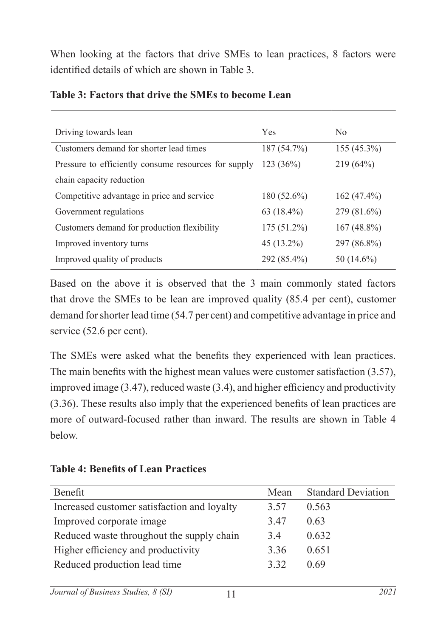When looking at the factors that drive SMEs to lean practices, 8 factors were identified details of which are shown in Table 3.

| Driving towards lean                                 | Yes           | No            |
|------------------------------------------------------|---------------|---------------|
|                                                      |               |               |
| Customers demand for shorter lead times              | 187(54.7%)    | $155(45.3\%)$ |
| Pressure to efficiently consume resources for supply | 123(36%)      | $219(64\%)$   |
| chain capacity reduction                             |               |               |
| Competitive advantage in price and service           | $180(52.6\%)$ | $162(47.4\%)$ |
| Government regulations                               | 63 $(18.4\%)$ | $279(81.6\%)$ |
| Customers demand for production flexibility          | $175(51.2\%)$ | $167(48.8\%)$ |
| Improved inventory turns                             | 45 (13.2%)    | 297 (86.8%)   |
| Improved quality of products                         | 292 (85.4%)   | $50(14.6\%)$  |

#### **Table 3: Factors that drive the SMEs to become Lean**

Based on the above it is observed that the 3 main commonly stated factors that drove the SMEs to be lean are improved quality (85.4 per cent), customer demand for shorter lead time (54.7 per cent) and competitive advantage in price and service (52.6 per cent).

The SMEs were asked what the benefits they experienced with lean practices. The main benefits with the highest mean values were customer satisfaction (3.57), improved image (3.47), reduced waste (3.4), and higher efficiency and productivity (3.36). These results also imply that the experienced benefits of lean practices are more of outward-focused rather than inward. The results are shown in Table 4 below.

**Table 4: Benefits of Lean Practices**

| Benefit                                     | Mean | <b>Standard Deviation</b> |
|---------------------------------------------|------|---------------------------|
| Increased customer satisfaction and loyalty | 3.57 | 0.563                     |
| Improved corporate image                    | 3.47 | 0.63                      |
| Reduced waste throughout the supply chain   | 3.4  | 0.632                     |
| Higher efficiency and productivity          | 3.36 | 0.651                     |
| Reduced production lead time                | 332  | 0.69                      |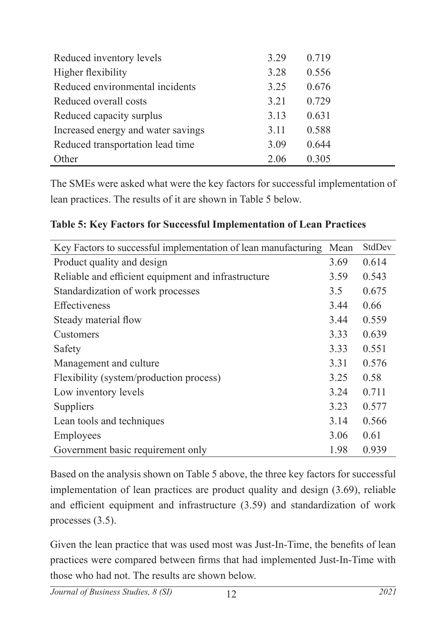| Reduced inventory levels           | 3.29 | 0.719 |
|------------------------------------|------|-------|
| Higher flexibility                 | 3.28 | 0.556 |
| Reduced environmental incidents    | 3.25 | 0.676 |
| Reduced overall costs              | 3.21 | 0.729 |
| Reduced capacity surplus           | 3.13 | 0.631 |
| Increased energy and water savings | 3.11 | 0.588 |
| Reduced transportation lead time   | 3.09 | 0.644 |
| Other                              | 2.06 | 0.305 |

The SMEs were asked what were the key factors for successful implementation of lean practices. The results of it are shown in Table 5 below.

| Key Factors to successful implementation of lean manufacturing | Mean | StdDev |
|----------------------------------------------------------------|------|--------|
| Product quality and design                                     | 3.69 | 0.614  |
| Reliable and efficient equipment and infrastructure            | 3.59 | 0.543  |
| Standardization of work processes                              | 3.5  | 0.675  |
| <b>Effectiveness</b>                                           | 3.44 | 0.66   |
| Steady material flow                                           | 3.44 | 0.559  |
| Customers                                                      | 3.33 | 0.639  |
| Safety                                                         | 3.33 | 0.551  |
| Management and culture                                         | 3.31 | 0.576  |
| Flexibility (system/production process)                        | 3.25 | 0.58   |
| Low inventory levels                                           | 3.24 | 0.711  |
| Suppliers                                                      | 3.23 | 0.577  |
| Lean tools and techniques                                      | 3.14 | 0.566  |
| Employees                                                      | 3.06 | 0.61   |
| Government basic requirement only                              | 1.98 | 0.939  |

#### **Table 5: Key Factors for Successful Implementation of Lean Practices**

Based on the analysis shown on Table 5 above, the three key factors for successful implementation of lean practices are product quality and design (3.69), reliable and efficient equipment and infrastructure (3.59) and standardization of work processes (3.5).

Given the lean practice that was used most was Just-In-Time, the benefits of lean practices were compared between firms that had implemented Just-In-Time with those who had not. The results are shown below.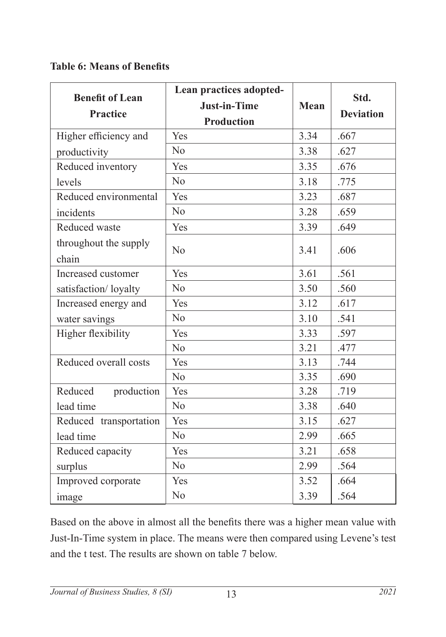## **Table 6: Means of Benefits**

| <b>Benefit of Lean</b><br><b>Practice</b> | Lean practices adopted-<br><b>Just-in-Time</b><br><b>Production</b> | <b>Mean</b> | Std.<br><b>Deviation</b> |
|-------------------------------------------|---------------------------------------------------------------------|-------------|--------------------------|
| Higher efficiency and                     | Yes                                                                 | 3.34        | .667                     |
| productivity                              | N <sub>o</sub>                                                      | 3.38        | .627                     |
| Reduced inventory                         | Yes                                                                 | 3.35        | .676                     |
| levels                                    | N <sub>o</sub>                                                      | 3.18        | .775                     |
| Reduced environmental                     | Yes                                                                 | 3.23        | .687                     |
| incidents                                 | N <sub>o</sub>                                                      | 3.28        | .659                     |
| Reduced waste                             | Yes                                                                 | 3.39        | .649                     |
| throughout the supply<br>chain            | N <sub>o</sub>                                                      | 3.41        | .606                     |
| Increased customer                        | Yes                                                                 | 3.61        | .561                     |
| satisfaction/loyalty                      | No                                                                  | 3.50        | .560                     |
| Increased energy and                      | Yes                                                                 | 3.12        | .617                     |
| water savings                             | N <sub>o</sub>                                                      | 3.10        | .541                     |
| Higher flexibility                        | Yes                                                                 | 3.33        | .597                     |
|                                           | N <sub>o</sub>                                                      | 3.21        | .477                     |
| Reduced overall costs                     | Yes                                                                 | 3.13        | .744                     |
|                                           | N <sub>o</sub>                                                      | 3.35        | .690                     |
| Reduced<br>production                     | Yes                                                                 | 3.28        | .719                     |
| lead time                                 | N <sub>o</sub>                                                      | 3.38        | .640                     |
| Reduced transportation                    | Yes                                                                 | 3.15        | .627                     |
| lead time                                 | No                                                                  | 2.99        | .665                     |
| Reduced capacity                          | Yes                                                                 | 3.21        | .658                     |
| surplus                                   | N <sub>o</sub>                                                      | 2.99        | .564                     |
| Improved corporate                        | Yes                                                                 | 3.52        | .664                     |
| image                                     | No                                                                  | 3.39        | .564                     |

Based on the above in almost all the benefits there was a higher mean value with Just-In-Time system in place. The means were then compared using Levene's test and the t test. The results are shown on table 7 below.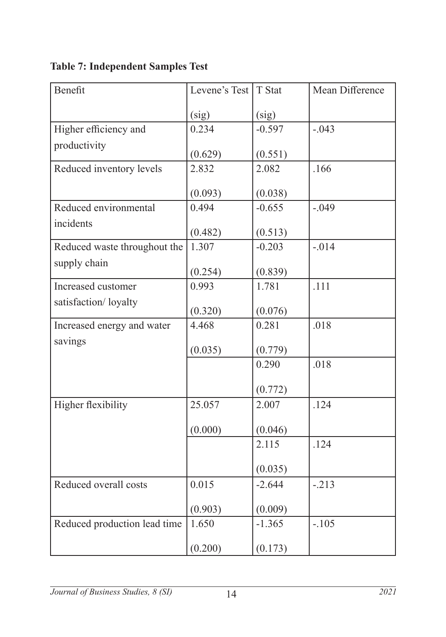| Benefit                      | Levene's Test   T Stat |          | Mean Difference |
|------------------------------|------------------------|----------|-----------------|
|                              | (sig)                  | (sig)    |                 |
| Higher efficiency and        | 0.234                  | $-0.597$ | $-.043$         |
| productivity                 | (0.629)                | (0.551)  |                 |
| Reduced inventory levels     | 2.832                  | 2.082    | .166            |
|                              | (0.093)                | (0.038)  |                 |
| Reduced environmental        | 0.494                  | $-0.655$ | $-.049$         |
| incidents                    | (0.482)                | (0.513)  |                 |
| Reduced waste throughout the | 1.307                  | $-0.203$ | $-.014$         |
| supply chain                 | (0.254)                | (0.839)  |                 |
| Increased customer           | 0.993                  | 1.781    | .111            |
| satisfaction/loyalty         | (0.320)                | (0.076)  |                 |
| Increased energy and water   | 4.468                  | 0.281    | .018            |
| savings                      | (0.035)                | (0.779)  |                 |
|                              |                        | 0.290    | .018            |
|                              |                        | (0.772)  |                 |
| Higher flexibility           | 25.057                 | 2.007    | .124            |
|                              | (0.000)                | (0.046)  |                 |
|                              |                        | 2.115    | .124            |
|                              |                        | (0.035)  |                 |
| Reduced overall costs        | 0.015                  | $-2.644$ | $-.213$         |
|                              | (0.903)                | (0.009)  |                 |
| Reduced production lead time | 1.650                  | $-1.365$ | $-.105$         |
|                              | (0.200)                | (0.173)  |                 |

**Table 7: Independent Samples Test**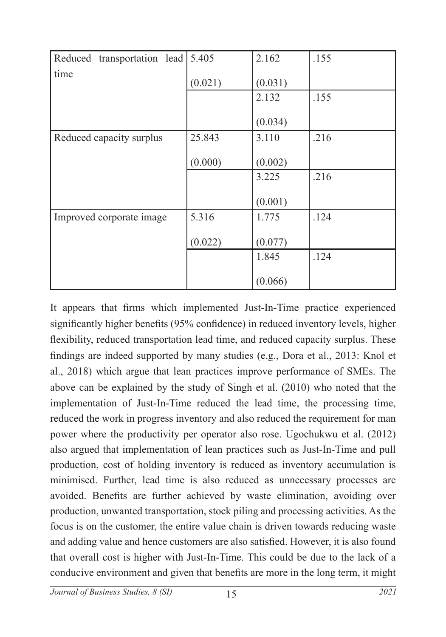| Reduced transportation lead 5.405 |         | 2.162   | .155 |
|-----------------------------------|---------|---------|------|
| time                              | (0.021) | (0.031) |      |
|                                   |         | 2.132   | .155 |
|                                   |         | (0.034) |      |
| Reduced capacity surplus          | 25.843  | 3.110   | .216 |
|                                   | (0.000) | (0.002) |      |
|                                   |         | 3.225   | .216 |
|                                   |         | (0.001) |      |
| Improved corporate image          | 5.316   | 1.775   | .124 |
|                                   | (0.022) | (0.077) |      |
|                                   |         | 1.845   | .124 |
|                                   |         | (0.066) |      |

It appears that firms which implemented Just-In-Time practice experienced significantly higher benefits (95% confidence) in reduced inventory levels, higher flexibility, reduced transportation lead time, and reduced capacity surplus. These findings are indeed supported by many studies (e.g., Dora et al., 2013: Knol et al., 2018) which argue that lean practices improve performance of SMEs. The above can be explained by the study of Singh et al. (2010) who noted that the implementation of Just-In-Time reduced the lead time, the processing time, reduced the work in progress inventory and also reduced the requirement for man power where the productivity per operator also rose. Ugochukwu et al. (2012) also argued that implementation of lean practices such as Just-In-Time and pull production, cost of holding inventory is reduced as inventory accumulation is minimised. Further, lead time is also reduced as unnecessary processes are avoided. Benefits are further achieved by waste elimination, avoiding over production, unwanted transportation, stock piling and processing activities. As the focus is on the customer, the entire value chain is driven towards reducing waste and adding value and hence customers are also satisfied. However, it is also found that overall cost is higher with Just-In-Time. This could be due to the lack of a conducive environment and given that benefits are more in the long term, it might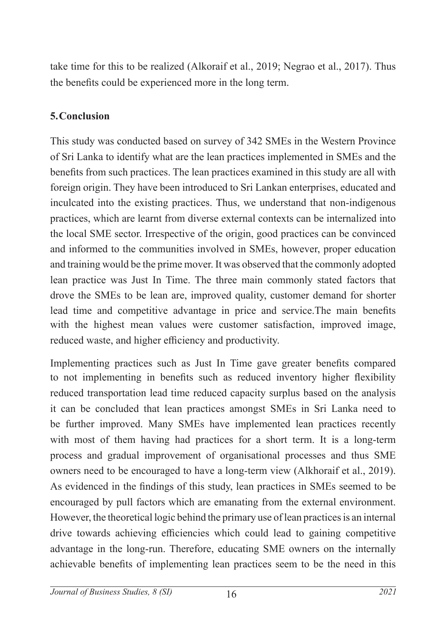take time for this to be realized (Alkoraif et al., 2019; Negrao et al., 2017). Thus the benefits could be experienced more in the long term.

### **5.Conclusion**

This study was conducted based on survey of 342 SMEs in the Western Province of Sri Lanka to identify what are the lean practices implemented in SMEs and the benefits from such practices. The lean practices examined in this study are all with foreign origin. They have been introduced to Sri Lankan enterprises, educated and inculcated into the existing practices. Thus, we understand that non-indigenous practices, which are learnt from diverse external contexts can be internalized into the local SME sector. Irrespective of the origin, good practices can be convinced and informed to the communities involved in SMEs, however, proper education and training would be the prime mover. It was observed that the commonly adopted lean practice was Just In Time. The three main commonly stated factors that drove the SMEs to be lean are, improved quality, customer demand for shorter lead time and competitive advantage in price and service.The main benefits with the highest mean values were customer satisfaction, improved image, reduced waste, and higher efficiency and productivity.

Implementing practices such as Just In Time gave greater benefits compared to not implementing in benefits such as reduced inventory higher flexibility reduced transportation lead time reduced capacity surplus based on the analysis it can be concluded that lean practices amongst SMEs in Sri Lanka need to be further improved. Many SMEs have implemented lean practices recently with most of them having had practices for a short term. It is a long-term process and gradual improvement of organisational processes and thus SME owners need to be encouraged to have a long-term view (Alkhoraif et al., 2019). As evidenced in the findings of this study, lean practices in SMEs seemed to be encouraged by pull factors which are emanating from the external environment. However, the theoretical logic behind the primary use of lean practices is an internal drive towards achieving efficiencies which could lead to gaining competitive advantage in the long-run. Therefore, educating SME owners on the internally achievable benefits of implementing lean practices seem to be the need in this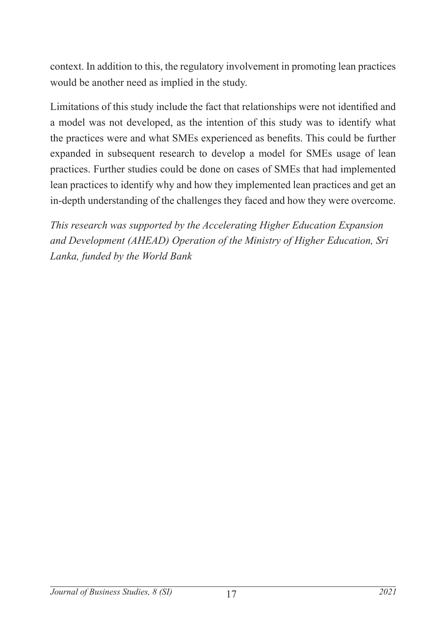context. In addition to this, the regulatory involvement in promoting lean practices would be another need as implied in the study.

Limitations of this study include the fact that relationships were not identified and a model was not developed, as the intention of this study was to identify what the practices were and what SMEs experienced as benefits. This could be further expanded in subsequent research to develop a model for SMEs usage of lean practices. Further studies could be done on cases of SMEs that had implemented lean practices to identify why and how they implemented lean practices and get an in-depth understanding of the challenges they faced and how they were overcome.

*This research was supported by the Accelerating Higher Education Expansion and Development (AHEAD) Operation of the Ministry of Higher Education, Sri Lanka, funded by the World Bank*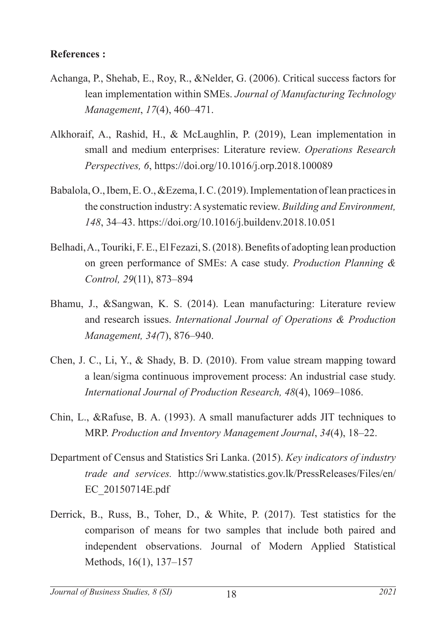#### **References :**

- Achanga, P., Shehab, E., Roy, R., &Nelder, G. (2006). Critical success factors for lean implementation within SMEs. *Journal of Manufacturing Technology Management*, *17*(4), 460–471.
- Alkhoraif, A., Rashid, H., & McLaughlin, P. (2019), Lean implementation in small and medium enterprises: Literature review. *Operations Research Perspectives, 6*, https://doi.org/10.1016/j.orp.2018.100089
- Babalola, O., Ibem, E. O., &Ezema, I. C. (2019). Implementation of lean practices in the construction industry: A systematic review. *Building and Environment, 148*, 34–43. https://doi.org/10.1016/j.buildenv.2018.10.051
- Belhadi, A., Touriki, F. E., El Fezazi, S. (2018). Benefits of adopting lean production on green performance of SMEs: A case study. *Production Planning & Control, 29*(11), 873–894
- Bhamu, J., &Sangwan, K. S. (2014). Lean manufacturing: Literature review and research issues. *International Journal of Operations & Production Management, 34(*7), 876–940.
- Chen, J. C., Li, Y., & Shady, B. D. (2010). From value stream mapping toward a lean/sigma continuous improvement process: An industrial case study. *International Journal of Production Research, 48*(4), 1069–1086.
- Chin, L., &Rafuse, B. A. (1993). A small manufacturer adds JIT techniques to MRP. *Production and Inventory Management Journal*, *34*(4), 18–22.
- Department of Census and Statistics Sri Lanka. (2015). *Key indicators of industry trade and services.* http://www.statistics.gov.lk/PressReleases/Files/en/ EC\_20150714E.pdf
- Derrick, B., Russ, B., Toher, D., & White, P. (2017). Test statistics for the comparison of means for two samples that include both paired and independent observations. Journal of Modern Applied Statistical Methods, 16(1), 137–157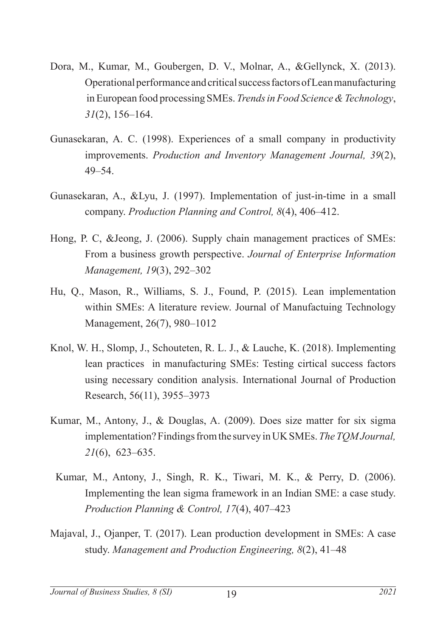- Dora, M., Kumar, M., Goubergen, D. V., Molnar, A., &Gellynck, X. (2013). Operational performance and critical success factors of Lean manufacturing in European food processing SMEs. *Trends in Food Science & Technology*, *31*(2), 156–164.
- Gunasekaran, A. C. (1998). Experiences of a small company in productivity improvements. *Production and Inventory Management Journal, 39*(2), 49–54.
- Gunasekaran, A., &Lyu, J. (1997). Implementation of just-in-time in a small company. *Production Planning and Control, 8*(4), 406–412.
- Hong, P. C, &Jeong, J. (2006). Supply chain management practices of SMEs: From a business growth perspective. *Journal of Enterprise Information Management, 19*(3), 292–302
- Hu, Q., Mason, R., Williams, S. J., Found, P. (2015). Lean implementation within SMEs: A literature review. Journal of Manufactuing Technology Management, 26(7), 980–1012
- Knol, W. H., Slomp, J., Schouteten, R. L. J., & Lauche, K. (2018). Implementing lean practices in manufacturing SMEs: Testing cirtical success factors using necessary condition analysis. International Journal of Production Research, 56(11), 3955–3973
- Kumar, M., Antony, J., & Douglas, A. (2009). Does size matter for six sigma implementation? Findings from the survey in UK SMEs. *The TQM Journal, 21*(6), 623–635.
- Kumar, M., Antony, J., Singh, R. K., Tiwari, M. K., & Perry, D. (2006). Implementing the lean sigma framework in an Indian SME: a case study. *Production Planning & Control, 17*(4), 407–423
- Majaval, J., Ojanper, T. (2017). Lean production development in SMEs: A case study. *Management and Production Engineering, 8*(2), 41–48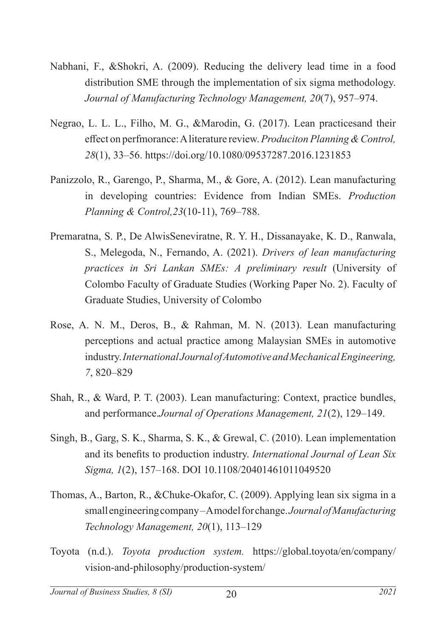- Nabhani, F., &Shokri, A. (2009). Reducing the delivery lead time in a food distribution SME through the implementation of six sigma methodology. *Journal of Manufacturing Technology Management, 20*(7), 957–974.
- Negrao, L. L. L., Filho, M. G., &Marodin, G. (2017). Lean practicesand their effect on perfmorance: A literature review. *Produciton Planning & Control, 28*(1), 33–56. https://doi.org/10.1080/09537287.2016.1231853
- Panizzolo, R., Garengo, P., Sharma, M., & Gore, A. (2012). Lean manufacturing in developing countries: Evidence from Indian SMEs. *Production Planning & Control,23*(10-11), 769–788.
- Premaratna, S. P., De AlwisSeneviratne, R. Y. H., Dissanayake, K. D., Ranwala, S., Melegoda, N., Fernando, A. (2021). *Drivers of lean manufacturing practices in Sri Lankan SMEs: A preliminary result* (University of Colombo Faculty of Graduate Studies (Working Paper No. 2). Faculty of Graduate Studies, University of Colombo
- Rose, A. N. M., Deros, B., & Rahman, M. N. (2013). Lean manufacturing perceptions and actual practice among Malaysian SMEs in automotive industry. *International Journal of Automotive and Mechanical Engineering, 7*, 820–829
- Shah, R., & Ward, P. T. (2003). Lean manufacturing: Context, practice bundles, and performance.*Journal of Operations Management, 21*(2), 129–149.
- Singh, B., Garg, S. K., Sharma, S. K., & Grewal, C. (2010). Lean implementation and its benefits to production industry. *International Journal of Lean Six Sigma, 1*(2), 157–168. DOI 10.1108/20401461011049520
- Thomas, A., Barton, R., &Chuke-Okafor, C. (2009). Applying lean six sigma in a small engineering company – A model for change. *Journal of Manufacturing Technology Management, 20*(1), 113–129
- Toyota (n.d.). *Toyota production system.* https://global.toyota/en/company/ vision-and-philosophy/production-system/